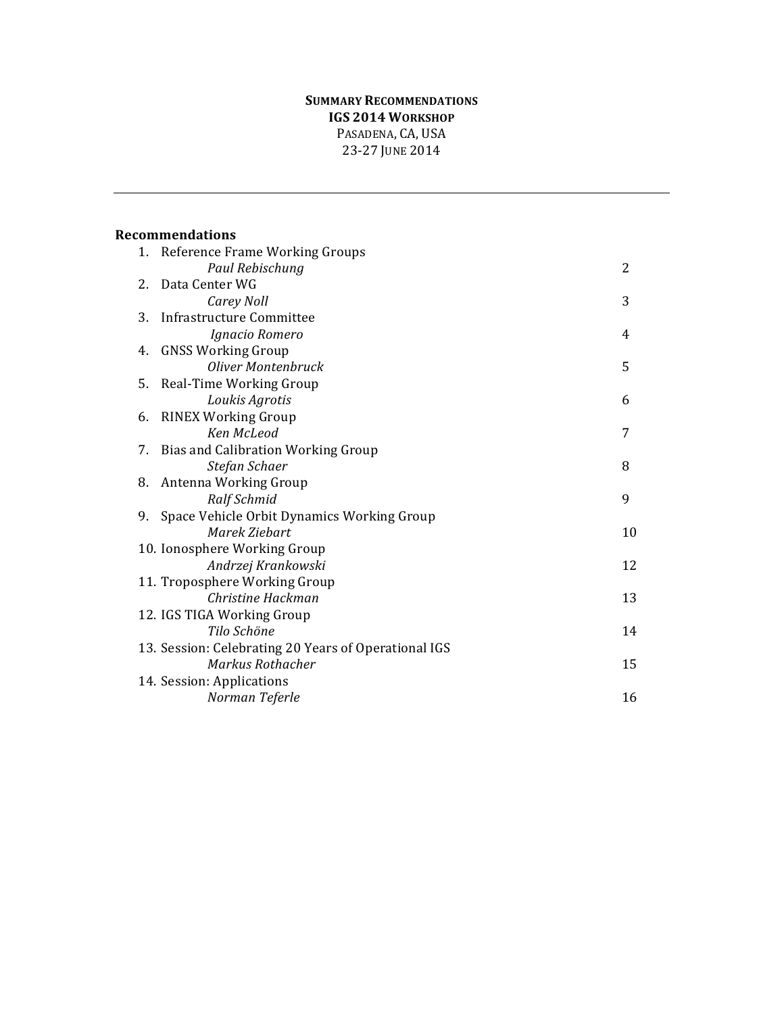## **SUMMARY RECOMMENDATIONS IGS 2014 WORKSHOP** PASADENA, CA, USA 23-27 JUNE 2014

|    | 1. Reference Frame Working Groups                         |    |
|----|-----------------------------------------------------------|----|
|    | Paul Rebischung                                           | 2  |
| 2. | Data Center WG                                            |    |
|    | Carey Noll                                                | 3  |
| 3. | Infrastructure Committee                                  |    |
|    | Ignacio Romero                                            | 4  |
| 4. | <b>GNSS Working Group</b>                                 |    |
|    | Oliver Montenbruck                                        | 5  |
|    | 5. Real-Time Working Group                                |    |
|    | Loukis Agrotis                                            | 6  |
| 6. | <b>RINEX Working Group</b>                                |    |
|    | Ken McLeod                                                | 7  |
| 7. | <b>Bias and Calibration Working Group</b>                 |    |
|    | Stefan Schaer                                             | 8  |
| 8. | Antenna Working Group                                     | 9  |
| 9. | Ralf Schmid<br>Space Vehicle Orbit Dynamics Working Group |    |
|    | Marek Ziebart                                             | 10 |
|    | 10. Ionosphere Working Group                              |    |
|    | Andrzej Krankowski                                        | 12 |
|    | 11. Troposphere Working Group                             |    |
|    | Christine Hackman                                         | 13 |
|    | 12. IGS TIGA Working Group                                |    |
|    | Tilo Schöne                                               | 14 |
|    | 13. Session: Celebrating 20 Years of Operational IGS      |    |
|    | Markus Rothacher                                          | 15 |
|    | 14. Session: Applications                                 |    |
|    | Norman Teferle                                            | 16 |
|    |                                                           |    |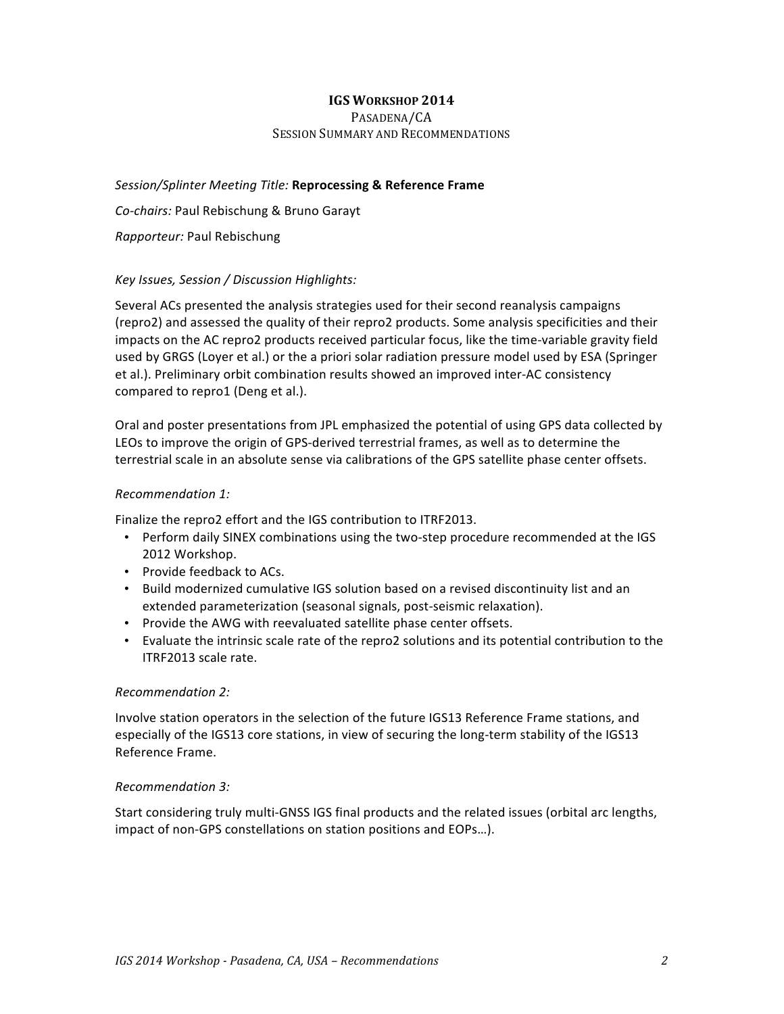#### PASADENA/CA SESSION SUMMARY AND RECOMMENDATIONS

*Session/Splinter Meeting Title:* **Reprocessing & Reference Frame**

Co-chairs: Paul Rebischung & Bruno Garayt

*Rapporteur:* Paul Rebischung

## *Key Issues, Session / Discussion Highlights:*

Several ACs presented the analysis strategies used for their second reanalysis campaigns (repro2) and assessed the quality of their repro2 products. Some analysis specificities and their impacts on the AC repro2 products received particular focus, like the time-variable gravity field used by GRGS (Loyer et al.) or the a priori solar radiation pressure model used by ESA (Springer et al.). Preliminary orbit combination results showed an improved inter-AC consistency compared to repro1 (Deng et al.).

Oral and poster presentations from JPL emphasized the potential of using GPS data collected by LEOs to improve the origin of GPS-derived terrestrial frames, as well as to determine the terrestrial scale in an absolute sense via calibrations of the GPS satellite phase center offsets.

#### *Recommendation 1:*

Finalize the repro2 effort and the IGS contribution to ITRF2013.

- Perform daily SINEX combinations using the two-step procedure recommended at the IGS 2012 Workshop.
- Provide feedback to ACs.
- Build modernized cumulative IGS solution based on a revised discontinuity list and an extended parameterization (seasonal signals, post-seismic relaxation).
- Provide the AWG with reevaluated satellite phase center offsets.
- Evaluate the intrinsic scale rate of the repro2 solutions and its potential contribution to the ITRF2013 scale rate.

#### *Recommendation 2:*

Involve station operators in the selection of the future IGS13 Reference Frame stations, and especially of the IGS13 core stations, in view of securing the long-term stability of the IGS13 Reference Frame.

#### *Recommendation 3:*

Start considering truly multi-GNSS IGS final products and the related issues (orbital arc lengths, impact of non-GPS constellations on station positions and EOPs...).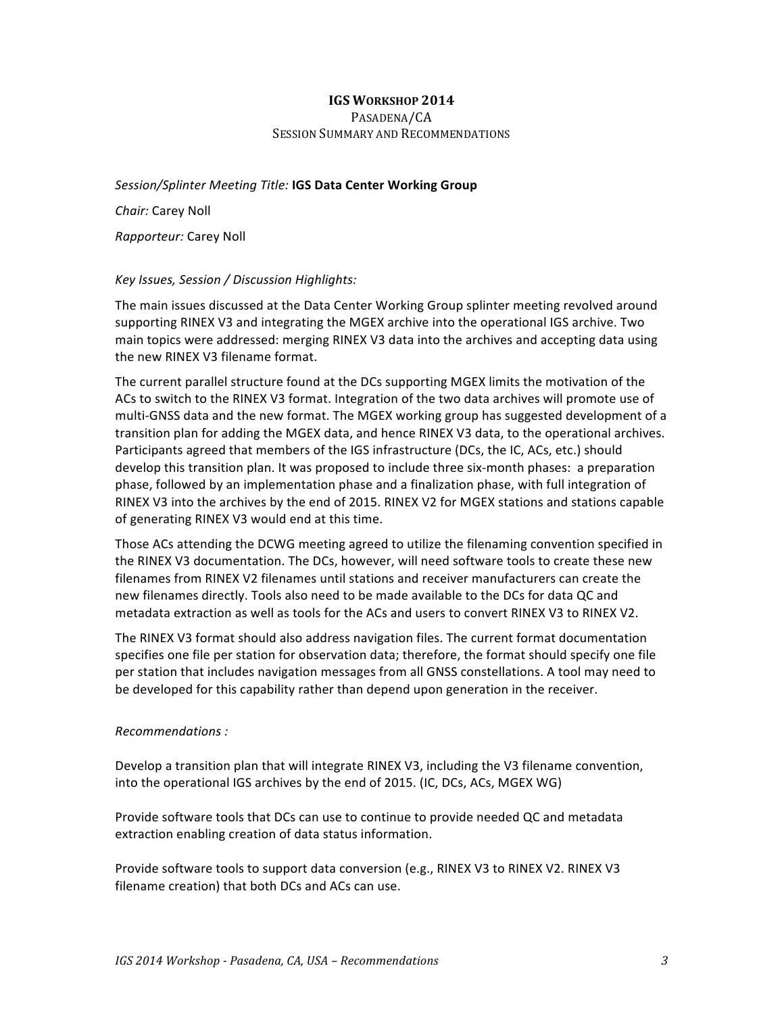#### PASADENA/CA SESSION SUMMARY AND RECOMMENDATIONS

Session/Splinter Meeting Title: **IGS Data Center Working Group** 

*Chair:* Carey Noll

*Rapporteur:* Carey Noll

#### *Key Issues, Session / Discussion Highlights:*

The main issues discussed at the Data Center Working Group splinter meeting revolved around supporting RINEX V3 and integrating the MGEX archive into the operational IGS archive. Two main topics were addressed: merging RINEX V3 data into the archives and accepting data using the new RINEX V3 filename format.

The current parallel structure found at the DCs supporting MGEX limits the motivation of the ACs to switch to the RINEX V3 format. Integration of the two data archives will promote use of multi-GNSS data and the new format. The MGEX working group has suggested development of a transition plan for adding the MGEX data, and hence RINEX V3 data, to the operational archives. Participants agreed that members of the IGS infrastructure (DCs, the IC, ACs, etc.) should develop this transition plan. It was proposed to include three six-month phases: a preparation phase, followed by an implementation phase and a finalization phase, with full integration of RINEX V3 into the archives by the end of 2015. RINEX V2 for MGEX stations and stations capable of generating RINEX V3 would end at this time.

Those ACs attending the DCWG meeting agreed to utilize the filenaming convention specified in the RINEX V3 documentation. The DCs, however, will need software tools to create these new filenames from RINEX V2 filenames until stations and receiver manufacturers can create the new filenames directly. Tools also need to be made available to the DCs for data QC and metadata extraction as well as tools for the ACs and users to convert RINEX V3 to RINEX V2.

The RINEX V3 format should also address navigation files. The current format documentation specifies one file per station for observation data; therefore, the format should specify one file per station that includes navigation messages from all GNSS constellations. A tool may need to be developed for this capability rather than depend upon generation in the receiver.

#### *Recommendations :*

Develop a transition plan that will integrate RINEX V3, including the V3 filename convention, into the operational IGS archives by the end of 2015. (IC, DCs, ACs, MGEX WG)

Provide software tools that DCs can use to continue to provide needed QC and metadata extraction enabling creation of data status information.

Provide software tools to support data conversion (e.g., RINEX V3 to RINEX V2. RINEX V3 filename creation) that both DCs and ACs can use.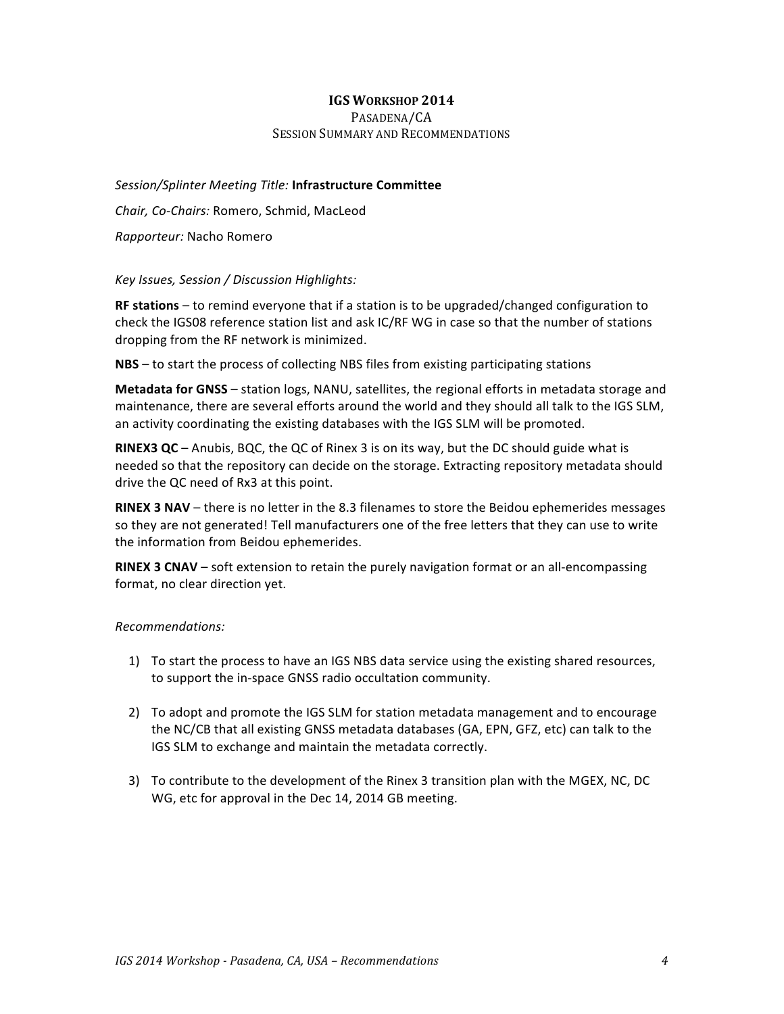#### PASADENA/CA SESSION SUMMARY AND RECOMMENDATIONS

*Session/Splinter Meeting Title:* **Infrastructure Committee** *Chair, Co-Chairs:* Romero, Schmid, MacLeod *Rapporteur:* Nacho Romero

#### *Key Issues, Session / Discussion Highlights:*

**RF stations** – to remind everyone that if a station is to be upgraded/changed configuration to check the IGS08 reference station list and ask IC/RF WG in case so that the number of stations dropping from the RF network is minimized.

**NBS** – to start the process of collecting NBS files from existing participating stations

Metadata for GNSS - station logs, NANU, satellites, the regional efforts in metadata storage and maintenance, there are several efforts around the world and they should all talk to the IGS SLM, an activity coordinating the existing databases with the IGS SLM will be promoted.

**RINEX3 QC** – Anubis, BQC, the QC of Rinex 3 is on its way, but the DC should guide what is needed so that the repository can decide on the storage. Extracting repository metadata should drive the QC need of Rx3 at this point.

**RINEX 3 NAV** – there is no letter in the 8.3 filenames to store the Beidou ephemerides messages so they are not generated! Tell manufacturers one of the free letters that they can use to write the information from Beidou ephemerides.

**RINEX 3 CNAV** – soft extension to retain the purely navigation format or an all-encompassing format, no clear direction yet.

- 1) To start the process to have an IGS NBS data service using the existing shared resources, to support the in-space GNSS radio occultation community.
- 2) To adopt and promote the IGS SLM for station metadata management and to encourage the NC/CB that all existing GNSS metadata databases (GA, EPN, GFZ, etc) can talk to the IGS SLM to exchange and maintain the metadata correctly.
- 3) To contribute to the development of the Rinex 3 transition plan with the MGEX, NC, DC WG, etc for approval in the Dec 14, 2014 GB meeting.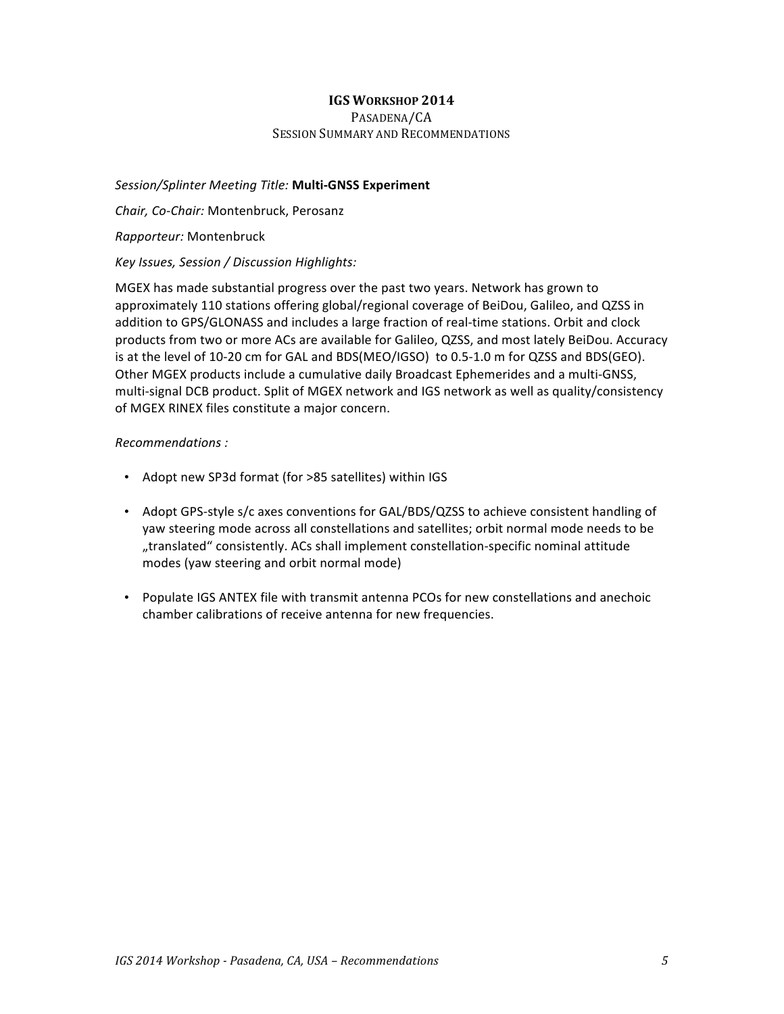#### PASADENA/CA SESSION SUMMARY AND RECOMMENDATIONS

### *Session/Splinter Meeting Title:* **Multi-GNSS Experiment**

*Chair, Co-Chair:* Montenbruck, Perosanz

#### *Rapporteur:* Montenbruck

#### *Key Issues, Session / Discussion Highlights:*

MGEX has made substantial progress over the past two years. Network has grown to approximately 110 stations offering global/regional coverage of BeiDou, Galileo, and QZSS in addition to GPS/GLONASS and includes a large fraction of real-time stations. Orbit and clock products from two or more ACs are available for Galileo, QZSS, and most lately BeiDou. Accuracy is at the level of 10-20 cm for GAL and BDS(MEO/IGSO) to 0.5-1.0 m for QZSS and BDS(GEO). Other MGEX products include a cumulative daily Broadcast Ephemerides and a multi-GNSS, multi-signal DCB product. Split of MGEX network and IGS network as well as quality/consistency of MGEX RINEX files constitute a major concern.

- Adopt new SP3d format (for >85 satellites) within IGS
- Adopt GPS-style s/c axes conventions for GAL/BDS/QZSS to achieve consistent handling of yaw steering mode across all constellations and satellites; orbit normal mode needs to be "translated" consistently. ACs shall implement constellation-specific nominal attitude modes (yaw steering and orbit normal mode)
- Populate IGS ANTEX file with transmit antenna PCOs for new constellations and anechoic chamber calibrations of receive antenna for new frequencies.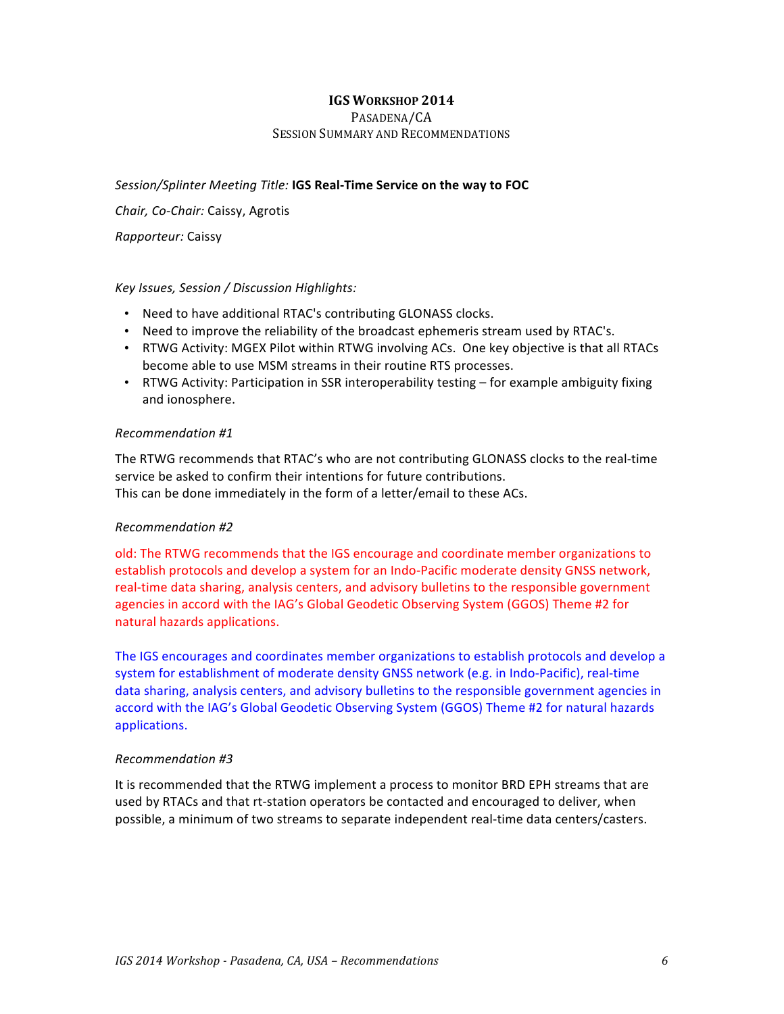#### PASADENA/CA SESSION SUMMARY AND RECOMMENDATIONS

## Session/Splinter Meeting Title: **IGS Real-Time Service on the way to FOC**

*Chair, Co-Chair:* Caissy, Agrotis

*Rapporteur:* Caissy

#### *Key Issues, Session / Discussion Highlights:*

- Need to have additional RTAC's contributing GLONASS clocks.
- Need to improve the reliability of the broadcast ephemeris stream used by RTAC's.
- RTWG Activity: MGEX Pilot within RTWG involving ACs. One key objective is that all RTACs become able to use MSM streams in their routine RTS processes.
- RTWG Activity: Participation in SSR interoperability testing for example ambiguity fixing and ionosphere.

#### *Recommendation #1*

The RTWG recommends that RTAC's who are not contributing GLONASS clocks to the real-time service be asked to confirm their intentions for future contributions. This can be done immediately in the form of a letter/email to these ACs.

#### *Recommendation #2*

old: The RTWG recommends that the IGS encourage and coordinate member organizations to establish protocols and develop a system for an Indo-Pacific moderate density GNSS network, real-time data sharing, analysis centers, and advisory bulletins to the responsible government agencies in accord with the IAG's Global Geodetic Observing System (GGOS) Theme #2 for natural hazards applications.

The IGS encourages and coordinates member organizations to establish protocols and develop a system for establishment of moderate density GNSS network (e.g. in Indo-Pacific), real-time data sharing, analysis centers, and advisory bulletins to the responsible government agencies in accord with the IAG's Global Geodetic Observing System (GGOS) Theme #2 for natural hazards applications.

#### *Recommendation #3*

It is recommended that the RTWG implement a process to monitor BRD EPH streams that are used by RTACs and that rt-station operators be contacted and encouraged to deliver, when possible, a minimum of two streams to separate independent real-time data centers/casters.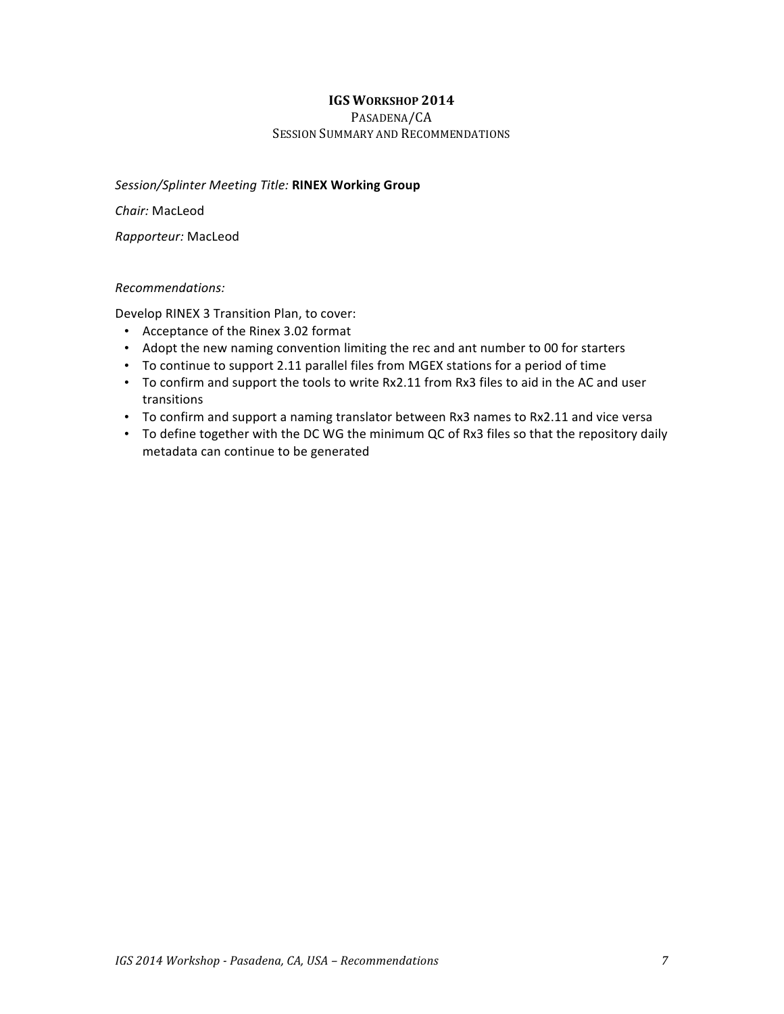#### PASADENA/CA SESSION SUMMARY AND RECOMMENDATIONS

#### *Session/Splinter Meeting Title:* **RINEX Working Group**

*Chair:* MacLeod

*Rapporteur:* MacLeod

#### *Recommendations:*

Develop RINEX 3 Transition Plan, to cover:

- Acceptance of the Rinex 3.02 format
- Adopt the new naming convention limiting the rec and ant number to 00 for starters
- To continue to support 2.11 parallel files from MGEX stations for a period of time
- To confirm and support the tools to write Rx2.11 from Rx3 files to aid in the AC and user transitions
- To confirm and support a naming translator between Rx3 names to Rx2.11 and vice versa
- To define together with the DC WG the minimum QC of Rx3 files so that the repository daily metadata can continue to be generated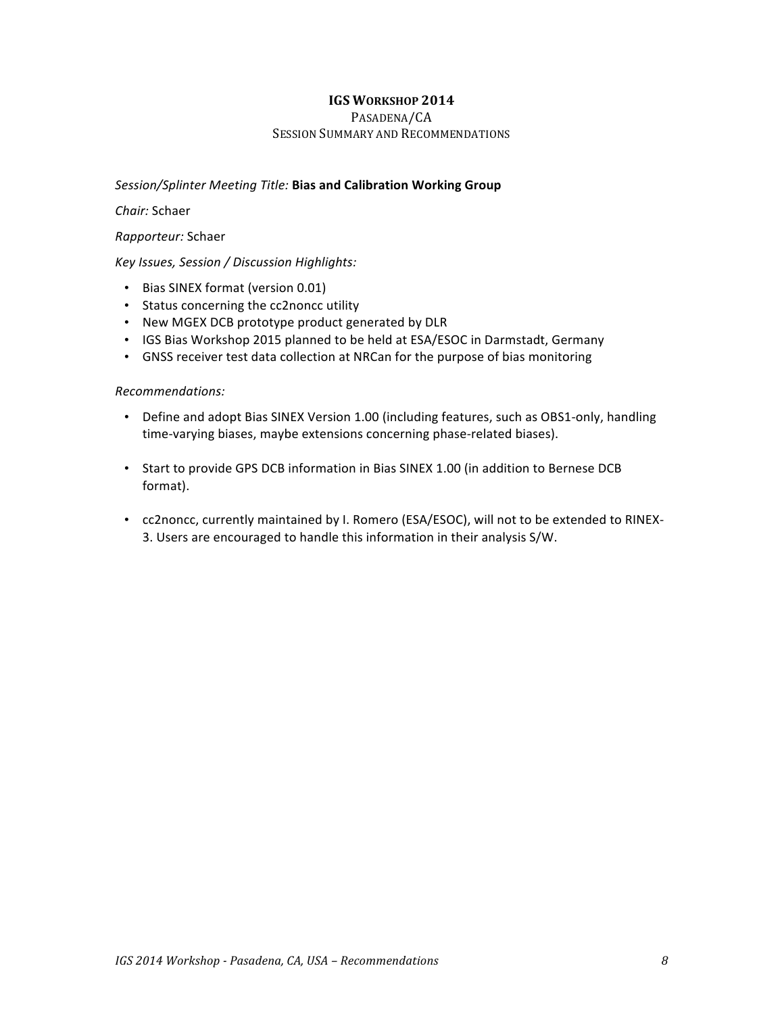#### PASADENA/CA SESSION SUMMARY AND RECOMMENDATIONS

### **Session/Splinter Meeting Title: Bias and Calibration Working Group**

#### *Chair:* Schaer

#### *Rapporteur:* Schaer

#### *Key Issues, Session / Discussion Highlights:*

- Bias SINEX format (version 0.01)
- Status concerning the cc2noncc utility
- New MGEX DCB prototype product generated by DLR
- IGS Bias Workshop 2015 planned to be held at ESA/ESOC in Darmstadt, Germany
- GNSS receiver test data collection at NRCan for the purpose of bias monitoring

- Define and adopt Bias SINEX Version 1.00 (including features, such as OBS1-only, handling time-varying biases, maybe extensions concerning phase-related biases).
- Start to provide GPS DCB information in Bias SINEX 1.00 (in addition to Bernese DCB format).
- cc2noncc, currently maintained by I. Romero (ESA/ESOC), will not to be extended to RINEX-3. Users are encouraged to handle this information in their analysis S/W.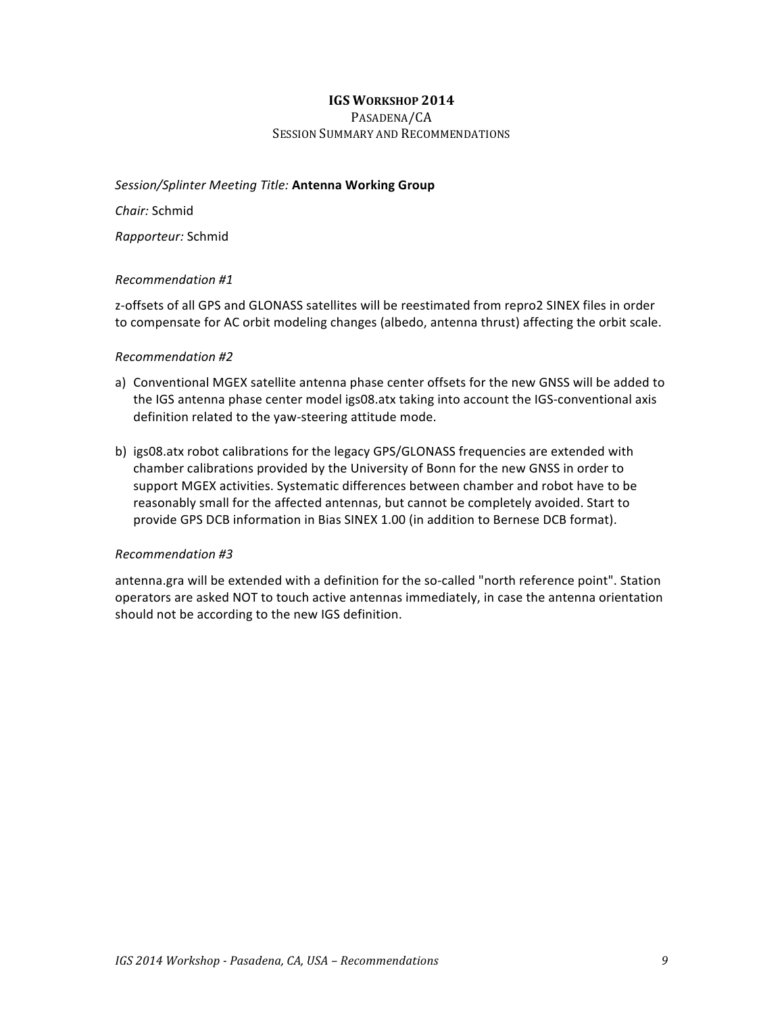### PASADENA/CA SESSION SUMMARY AND RECOMMENDATIONS

#### *Session/Splinter Meeting Title:* **Antenna Working Group**

*Chair:* Schmid

*Rapporteur:* Schmid

#### *Recommendation #1*

z-offsets of all GPS and GLONASS satellites will be reestimated from repro2 SINEX files in order to compensate for AC orbit modeling changes (albedo, antenna thrust) affecting the orbit scale.

#### *Recommendation #2*

- a) Conventional MGEX satellite antenna phase center offsets for the new GNSS will be added to the IGS antenna phase center model igs08.atx taking into account the IGS-conventional axis definition related to the yaw-steering attitude mode.
- b) igs08.atx robot calibrations for the legacy GPS/GLONASS frequencies are extended with chamber calibrations provided by the University of Bonn for the new GNSS in order to support MGEX activities. Systematic differences between chamber and robot have to be reasonably small for the affected antennas, but cannot be completely avoided. Start to provide GPS DCB information in Bias SINEX 1.00 (in addition to Bernese DCB format).

#### *Recommendation #3*

antenna.gra will be extended with a definition for the so-called "north reference point". Station operators are asked NOT to touch active antennas immediately, in case the antenna orientation should not be according to the new IGS definition.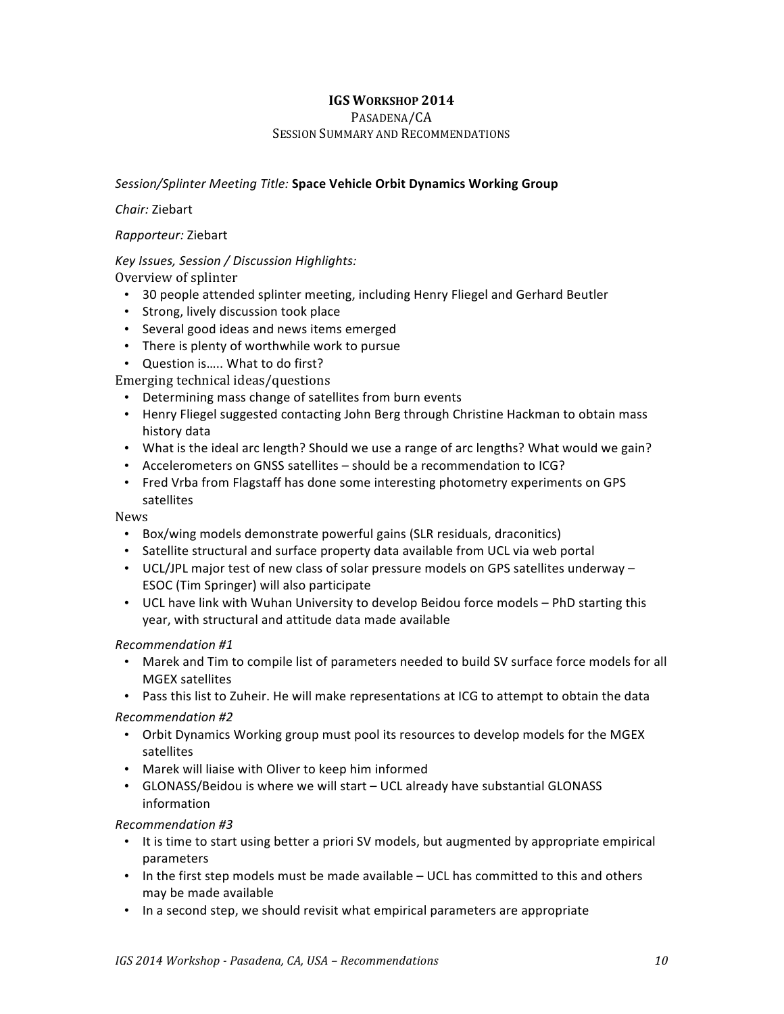PASADENA/CA

### SESSION SUMMARY AND RECOMMENDATIONS

## Session/Splinter Meeting Title: Space Vehicle Orbit Dynamics Working Group

#### *Chair:* Ziebart

## *Rapporteur:* Ziebart

## *Key Issues, Session / Discussion Highlights:*

Overview of splinter

- 30 people attended splinter meeting, including Henry Fliegel and Gerhard Beutler
- Strong, lively discussion took place
- Several good ideas and news items emerged
- There is plenty of worthwhile work to pursue
- Question is..... What to do first?

Emerging technical ideas/questions

- Determining mass change of satellites from burn events
- Henry Fliegel suggested contacting John Berg through Christine Hackman to obtain mass history data
- What is the ideal arc length? Should we use a range of arc lengths? What would we gain?
- Accelerometers on GNSS satellites should be a recommendation to ICG?
- Fred Vrba from Flagstaff has done some interesting photometry experiments on GPS satellites

#### News

- Box/wing models demonstrate powerful gains (SLR residuals, draconitics)
- Satellite structural and surface property data available from UCL via web portal
- UCL/JPL major test of new class of solar pressure models on GPS satellites underway ESOC (Tim Springer) will also participate
- UCL have link with Wuhan University to develop Beidou force models PhD starting this year, with structural and attitude data made available

## *Recommendation #1*

- Marek and Tim to compile list of parameters needed to build SV surface force models for all MGEX satellites
- Pass this list to Zuheir. He will make representations at ICG to attempt to obtain the data

## *Recommendation #2*

- Orbit Dynamics Working group must pool its resources to develop models for the MGEX satellites
- Marek will liaise with Oliver to keep him informed
- GLONASS/Beidou is where we will start UCL already have substantial GLONASS information

## *Recommendation #3*

- It is time to start using better a priori SV models, but augmented by appropriate empirical parameters
- In the first step models must be made available UCL has committed to this and others may be made available
- In a second step, we should revisit what empirical parameters are appropriate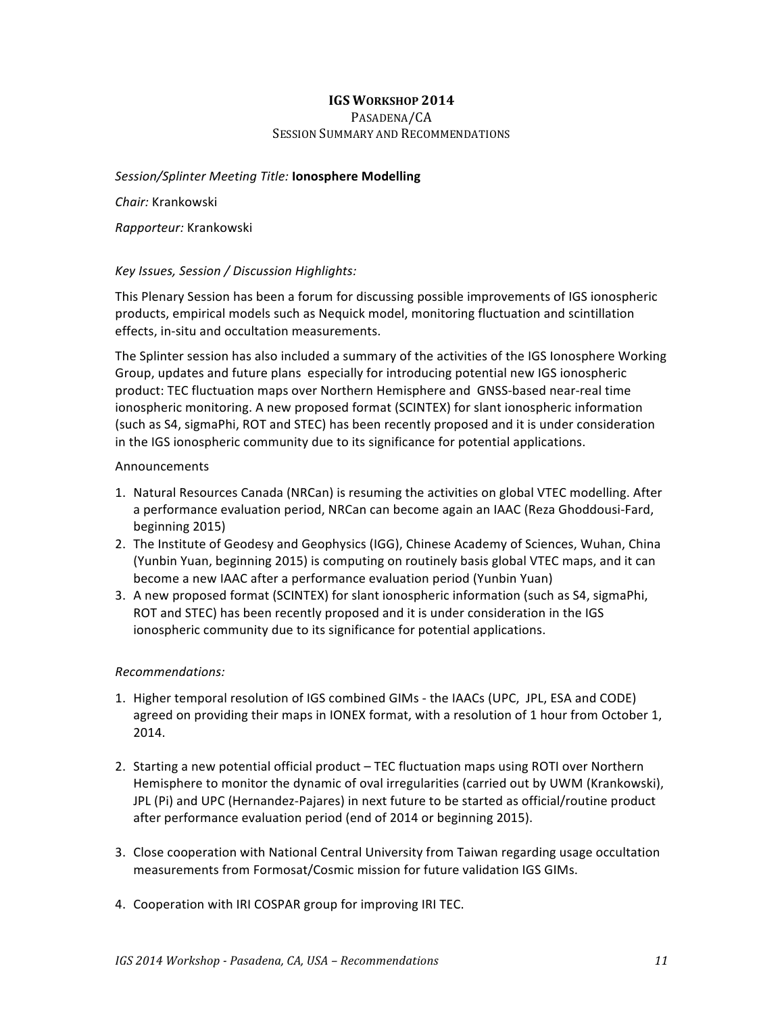### PASADENA/CA SESSION SUMMARY AND RECOMMENDATIONS

### *Session/Splinter Meeting Title:* **Ionosphere Modelling**

*Chair:* Krankowski

*Rapporteur:* Krankowski

## *Key Issues, Session / Discussion Highlights:*

This Plenary Session has been a forum for discussing possible improvements of IGS ionospheric products, empirical models such as Nequick model, monitoring fluctuation and scintillation effects, in-situ and occultation measurements.

The Splinter session has also included a summary of the activities of the IGS Ionosphere Working Group, updates and future plans especially for introducing potential new IGS ionospheric product: TEC fluctuation maps over Northern Hemisphere and GNSS-based near-real time ionospheric monitoring. A new proposed format (SCINTEX) for slant ionospheric information (such as S4, sigmaPhi, ROT and STEC) has been recently proposed and it is under consideration in the IGS ionospheric community due to its significance for potential applications.

#### Announcements

- 1. Natural Resources Canada (NRCan) is resuming the activities on global VTEC modelling. After a performance evaluation period, NRCan can become again an IAAC (Reza Ghoddousi-Fard, beginning 2015)
- 2. The Institute of Geodesy and Geophysics (IGG), Chinese Academy of Sciences, Wuhan, China (Yunbin Yuan, beginning 2015) is computing on routinely basis global VTEC maps, and it can become a new IAAC after a performance evaluation period (Yunbin Yuan)
- 3. A new proposed format (SCINTEX) for slant ionospheric information (such as S4, sigmaPhi, ROT and STEC) has been recently proposed and it is under consideration in the IGS ionospheric community due to its significance for potential applications.

- 1. Higher temporal resolution of IGS combined GIMs the IAACs (UPC, JPL, ESA and CODE) agreed on providing their maps in IONEX format, with a resolution of 1 hour from October 1, 2014.
- 2. Starting a new potential official product TEC fluctuation maps using ROTI over Northern Hemisphere to monitor the dynamic of oval irregularities (carried out by UWM (Krankowski), JPL (Pi) and UPC (Hernandez-Pajares) in next future to be started as official/routine product after performance evaluation period (end of 2014 or beginning 2015).
- 3. Close cooperation with National Central University from Taiwan regarding usage occultation measurements from Formosat/Cosmic mission for future validation IGS GIMs.
- 4. Cooperation with IRI COSPAR group for improving IRI TEC.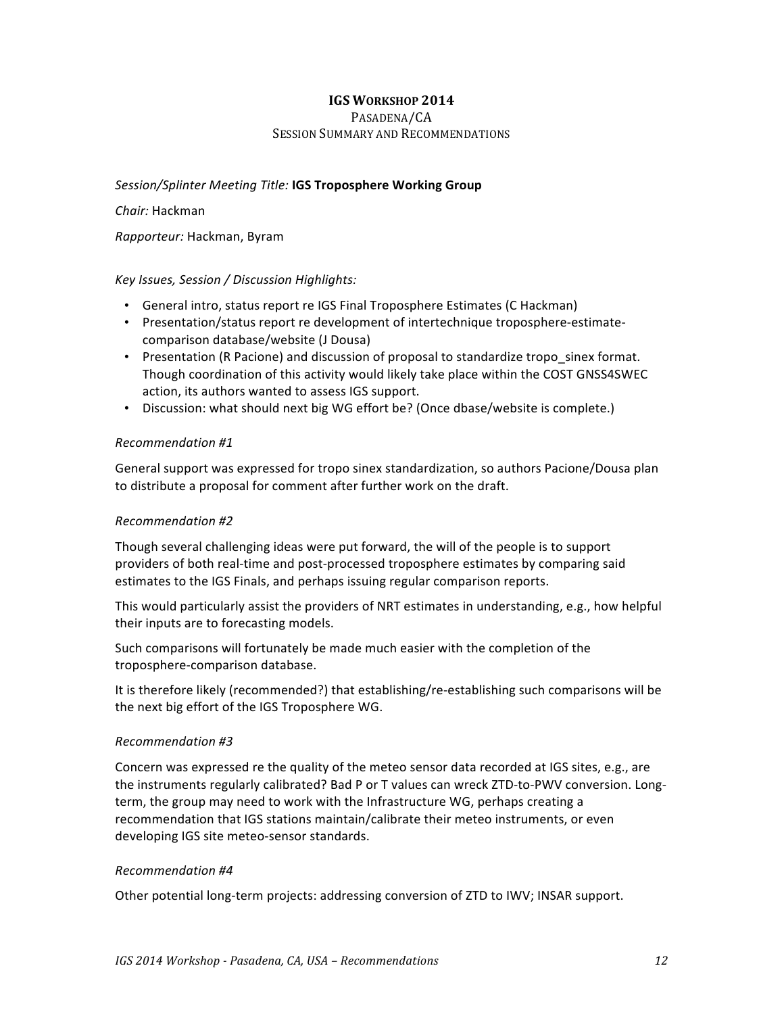#### PASADENA/CA SESSION SUMMARY AND RECOMMENDATIONS

## Session/Splinter Meeting Title: **IGS Troposphere Working Group**

### *Chair:* Hackman

*Rapporteur:* Hackman, Byram

## *Key Issues, Session / Discussion Highlights:*

- General intro, status report re IGS Final Troposphere Estimates (C Hackman)
- Presentation/status report re development of intertechnique troposphere-estimatecomparison database/website (J Dousa)
- Presentation (R Pacione) and discussion of proposal to standardize tropo sinex format. Though coordination of this activity would likely take place within the COST GNSS4SWEC action, its authors wanted to assess IGS support.
- Discussion: what should next big WG effort be? (Once dbase/website is complete.)

#### *Recommendation #1*

General support was expressed for tropo sinex standardization, so authors Pacione/Dousa plan to distribute a proposal for comment after further work on the draft.

## *Recommendation #2*

Though several challenging ideas were put forward, the will of the people is to support providers of both real-time and post-processed troposphere estimates by comparing said estimates to the IGS Finals, and perhaps issuing regular comparison reports.

This would particularly assist the providers of NRT estimates in understanding, e.g., how helpful their inputs are to forecasting models.

Such comparisons will fortunately be made much easier with the completion of the troposphere-comparison database.

It is therefore likely (recommended?) that establishing/re-establishing such comparisons will be the next big effort of the IGS Troposphere WG.

#### *Recommendation #3*

Concern was expressed re the quality of the meteo sensor data recorded at IGS sites, e.g., are the instruments regularly calibrated? Bad P or T values can wreck ZTD-to-PWV conversion. Longterm, the group may need to work with the Infrastructure WG, perhaps creating a recommendation that IGS stations maintain/calibrate their meteo instruments, or even developing IGS site meteo-sensor standards.

#### *Recommendation #4*

Other potential long-term projects: addressing conversion of ZTD to IWV; INSAR support.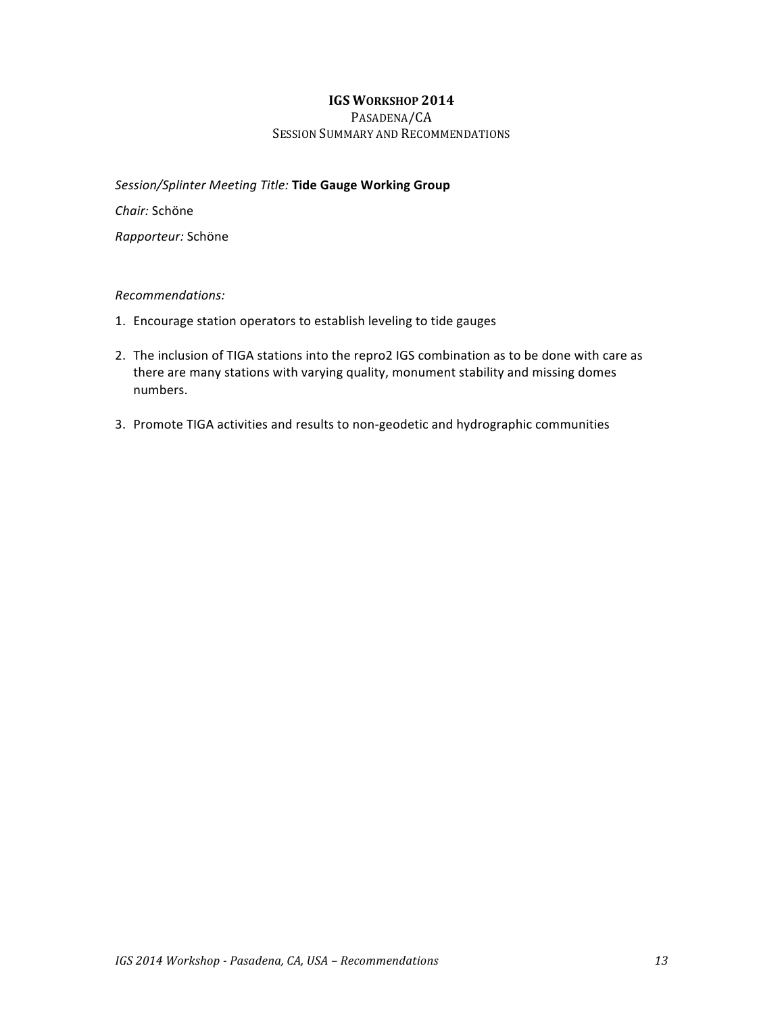PASADENA/CA SESSION SUMMARY AND RECOMMENDATIONS

*Session/Splinter Meeting Title:* **Tide Gauge Working Group**

*Chair:* Schöne

*Rapporteur:* Schöne

- 1. Encourage station operators to establish leveling to tide gauges
- 2. The inclusion of TIGA stations into the repro2 IGS combination as to be done with care as there are many stations with varying quality, monument stability and missing domes numbers.
- 3. Promote TIGA activities and results to non-geodetic and hydrographic communities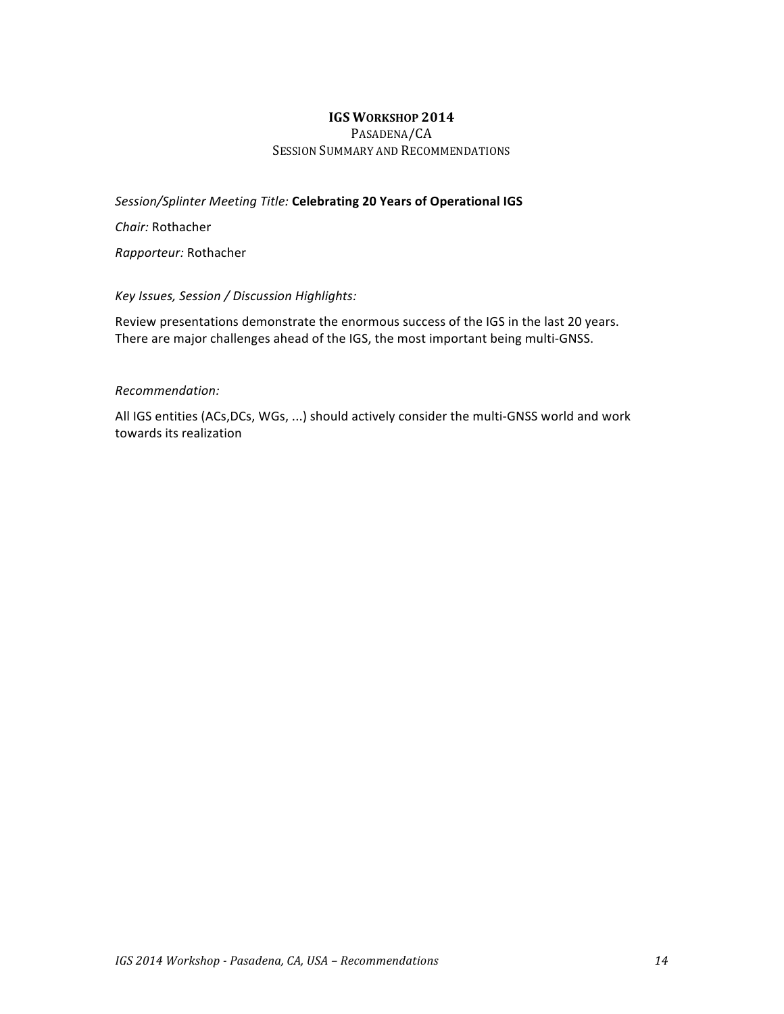PASADENA/CA SESSION SUMMARY AND RECOMMENDATIONS

**Session/Splinter Meeting Title: Celebrating 20 Years of Operational IGS** 

*Chair:* Rothacher

*Rapporteur:* Rothacher

#### *Key Issues, Session / Discussion Highlights:*

Review presentations demonstrate the enormous success of the IGS in the last 20 years. There are major challenges ahead of the IGS, the most important being multi-GNSS.

#### *Recommendation:*

All IGS entities (ACs,DCs, WGs, ...) should actively consider the multi-GNSS world and work towards its realization